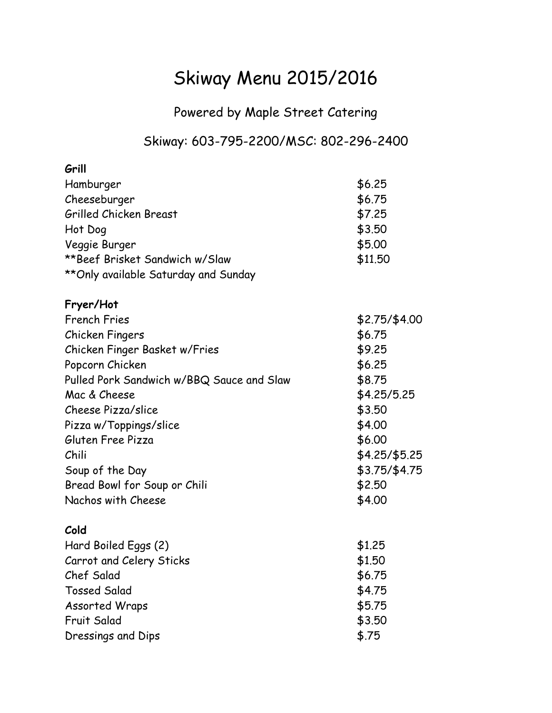## Skiway Menu 2015/2016

Powered by Maple Street Catering

## Skiway: 603-795-2200/MSC: 802-296-2400

| Grill                                     |               |
|-------------------------------------------|---------------|
| Hamburger                                 | \$6.25        |
| Cheeseburger                              | \$6.75        |
| Grilled Chicken Breast                    | \$7.25        |
| Hot Dog                                   | \$3.50        |
| Veggie Burger                             | \$5.00        |
| **Beef Brisket Sandwich w/Slaw            | \$11.50       |
| ** Only available Saturday and Sunday     |               |
| Fryer/Hot                                 |               |
| <b>French Fries</b>                       | \$2.75/\$4.00 |
| Chicken Fingers                           | \$6.75        |
| Chicken Finger Basket w/Fries             | \$9.25        |
| Popcorn Chicken                           | \$6.25        |
| Pulled Pork Sandwich w/BBQ Sauce and Slaw | \$8.75        |
| Mac & Cheese                              | \$4.25/5.25   |
| Cheese Pizza/slice                        | \$3.50        |
| Pizza w/Toppings/slice                    | \$4.00        |
| Gluten Free Pizza                         | \$6.00        |
| Chili                                     | \$4.25/\$5.25 |
| Soup of the Day                           | \$3.75/\$4.75 |
| Bread Bowl for Soup or Chili              | \$2.50        |
| Nachos with Cheese                        | \$4.00        |
| Cold                                      |               |
| Hard Boiled Eggs (2)                      | \$1.25        |
| Carrot and Celery Sticks                  | \$1.50        |
| Chef Salad                                | \$6.75        |
| <b>Tossed Salad</b>                       | \$4.75        |
| Assorted Wraps                            | \$5.75        |
| Fruit Salad                               | \$3.50        |
| Dressings and Dips                        | \$.75         |